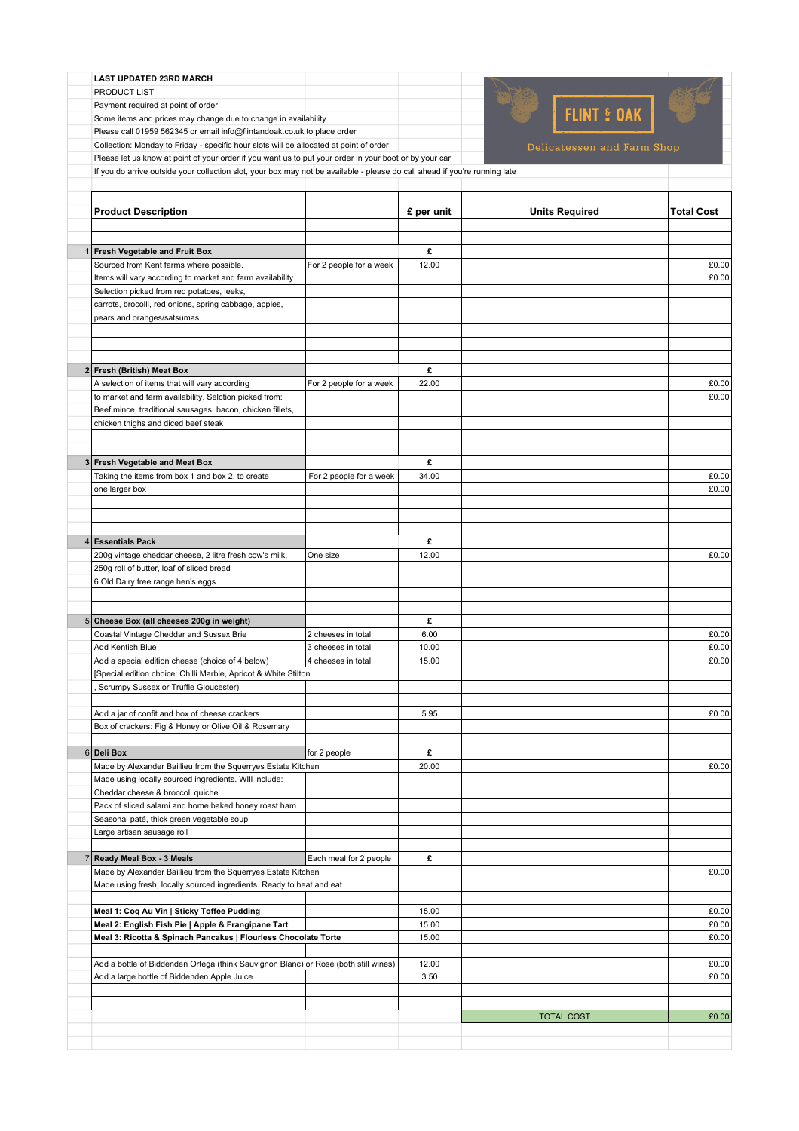|  |  |  | <b>LAST UPDATED 23RD MARCH</b> |  |
|--|--|--|--------------------------------|--|
|--|--|--|--------------------------------|--|

PRODUCT LIST

Payment required at point of order Some items and prices may change due to change in availability

Please call 01959 562345 or email info@flintandoak.co.uk to place order

Collection: Monday to Friday - specific hour slots will be allocated at point of order

Please let us know at point of your order if you want us to put your order in your boot or by your car

If you do arrive outside your collection slot, your box may not be available - please do call ahead if you're running late

| <b>Product Description</b>                                                          |                         | £ per unit | <b>Units Required</b> | <b>Total Cost</b> |
|-------------------------------------------------------------------------------------|-------------------------|------------|-----------------------|-------------------|
|                                                                                     |                         |            |                       |                   |
|                                                                                     |                         |            |                       |                   |
| 1 Fresh Vegetable and Fruit Box                                                     |                         | £          |                       |                   |
| Sourced from Kent farms where possible.                                             | For 2 people for a week | 12.00      |                       | £0.00             |
| Items will vary according to market and farm availability.                          |                         |            |                       | £0.00             |
| Selection picked from red potatoes, leeks,                                          |                         |            |                       |                   |
| carrots, brocolli, red onions, spring cabbage, apples,                              |                         |            |                       |                   |
| pears and oranges/satsumas                                                          |                         |            |                       |                   |
|                                                                                     |                         |            |                       |                   |
|                                                                                     |                         |            |                       |                   |
|                                                                                     |                         |            |                       |                   |
| 2 Fresh (British) Meat Box                                                          |                         | £          |                       |                   |
| A selection of items that will vary according                                       | For 2 people for a week | 22.00      |                       | £0.00             |
| to market and farm availability. Selction picked from:                              |                         |            |                       | £0.00             |
| Beef mince, traditional sausages, bacon, chicken fillets,                           |                         |            |                       |                   |
| chicken thighs and diced beef steak                                                 |                         |            |                       |                   |
|                                                                                     |                         |            |                       |                   |
|                                                                                     |                         |            |                       |                   |
| 3 Fresh Vegetable and Meat Box                                                      |                         | £          |                       |                   |
| Taking the items from box 1 and box 2, to create                                    | For 2 people for a week | 34.00      |                       | £0.00             |
| one larger box                                                                      |                         |            |                       | £0.00             |
|                                                                                     |                         |            |                       |                   |
|                                                                                     |                         |            |                       |                   |
|                                                                                     |                         |            |                       |                   |
| 4 Essentials Pack                                                                   |                         | £          |                       |                   |
|                                                                                     | One size                |            |                       | £0.00             |
| 200g vintage cheddar cheese, 2 litre fresh cow's milk,                              |                         | 12.00      |                       |                   |
| 250g roll of butter, loaf of sliced bread                                           |                         |            |                       |                   |
| 6 Old Dairy free range hen's eggs                                                   |                         |            |                       |                   |
|                                                                                     |                         |            |                       |                   |
|                                                                                     |                         |            |                       |                   |
| 5 Cheese Box (all cheeses 200g in weight)                                           |                         | £          |                       |                   |
| Coastal Vintage Cheddar and Sussex Brie                                             | 2 cheeses in total      | 6.00       |                       | £0.00             |
| Add Kentish Blue                                                                    | 3 cheeses in total      | 10.00      |                       | £0.00             |
| Add a special edition cheese (choice of 4 below)                                    | 4 cheeses in total      | 15.00      |                       | £0.00             |
| [Special edition choice: Chilli Marble, Apricot & White Stilton                     |                         |            |                       |                   |
| Scrumpy Sussex or Truffle Gloucester)                                               |                         |            |                       |                   |
|                                                                                     |                         |            |                       |                   |
| Add a jar of confit and box of cheese crackers                                      |                         | 5.95       |                       | £0.00             |
| Box of crackers: Fig & Honey or Olive Oil & Rosemary                                |                         |            |                       |                   |
|                                                                                     |                         |            |                       |                   |
| 6 Deli Box                                                                          | for 2 people            | £          |                       |                   |
| Made by Alexander Baillieu from the Squerryes Estate Kitchen                        |                         | 20.00      |                       | £0.00             |
| Made using locally sourced ingredients. Will include:                               |                         |            |                       |                   |
| Cheddar cheese & broccoli quiche                                                    |                         |            |                       |                   |
| Pack of sliced salami and home baked honey roast ham                                |                         |            |                       |                   |
| Seasonal paté, thick green vegetable soup                                           |                         |            |                       |                   |
| Large artisan sausage roll                                                          |                         |            |                       |                   |
|                                                                                     |                         |            |                       |                   |
| 7 Ready Meal Box - 3 Meals                                                          | Each meal for 2 people  | £          |                       |                   |
| Made by Alexander Baillieu from the Squerryes Estate Kitchen                        |                         |            |                       | £0.00             |
| Made using fresh, locally sourced ingredients. Ready to heat and eat                |                         |            |                       |                   |
|                                                                                     |                         |            |                       |                   |
| Meal 1: Coq Au Vin   Sticky Toffee Pudding                                          |                         | 15.00      |                       | £0.00             |
| Meal 2: English Fish Pie   Apple & Frangipane Tart                                  |                         | 15.00      |                       | £0.00             |
| Meal 3: Ricotta & Spinach Pancakes   Flourless Chocolate Torte                      |                         | 15.00      |                       | £0.00             |
|                                                                                     |                         |            |                       |                   |
| Add a bottle of Biddenden Ortega (think Sauvignon Blanc) or Rosé (both still wines) |                         | 12.00      |                       | £0.00             |
| Add a large bottle of Biddenden Apple Juice                                         |                         | 3.50       |                       | £0.00             |
|                                                                                     |                         |            |                       |                   |
|                                                                                     |                         |            |                       |                   |
|                                                                                     |                         |            | <b>TOTAL COST</b>     | £0.00             |
|                                                                                     |                         |            |                       |                   |
|                                                                                     |                         |            |                       |                   |

FLINT & OAK